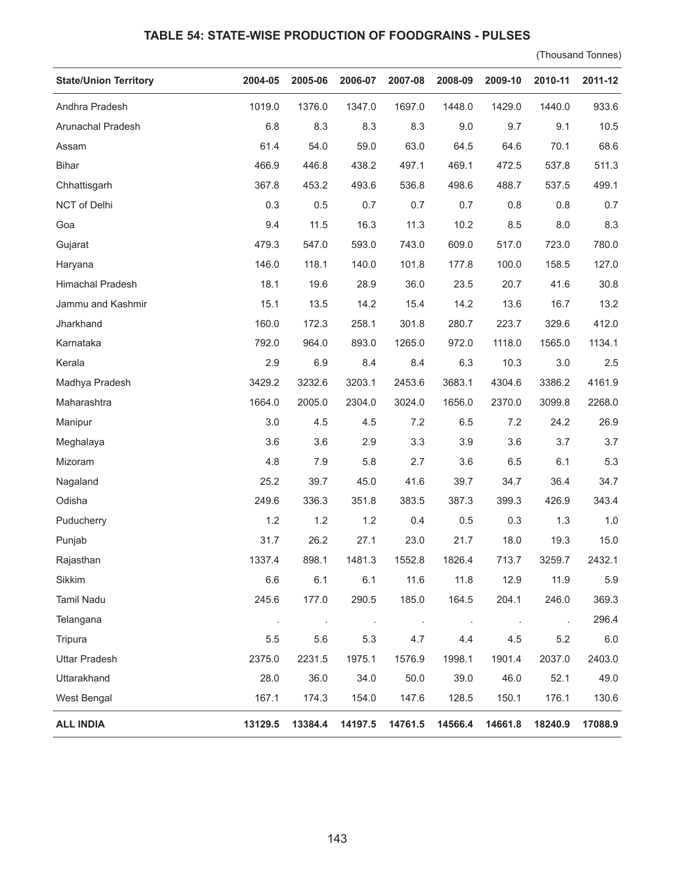## **TABLE 54: STATE-WISE PRODUCTION OF FOODGRAINS - PULSES**

(Thousand Tonnes)

| <b>State/Union Territory</b> | 2004-05 | 2005-06 | 2006-07 | 2007-08 | 2008-09 | 2009-10 | 2010-11 | 2011-12 |
|------------------------------|---------|---------|---------|---------|---------|---------|---------|---------|
| Andhra Pradesh               | 1019.0  | 1376.0  | 1347.0  | 1697.0  | 1448.0  | 1429.0  | 1440.0  | 933.6   |
| Arunachal Pradesh            | 6.8     | 8.3     | 8.3     | 8.3     | 9.0     | 9.7     | 9.1     | 10.5    |
| Assam                        | 61.4    | 54.0    | 59.0    | 63.0    | 64.5    | 64.6    | 70.1    | 68.6    |
| <b>Bihar</b>                 | 466.9   | 446.8   | 438.2   | 497.1   | 469.1   | 472.5   | 537.8   | 511.3   |
| Chhattisgarh                 | 367.8   | 453.2   | 493.6   | 536.8   | 498.6   | 488.7   | 537.5   | 499.1   |
| NCT of Delhi                 | 0.3     | 0.5     | 0.7     | 0.7     | 0.7     | 0.8     | 0.8     | 0.7     |
| Goa                          | 9.4     | 11.5    | 16.3    | 11.3    | 10.2    | 8.5     | 8.0     | 8.3     |
| Gujarat                      | 479.3   | 547.0   | 593.0   | 743.0   | 609.0   | 517.0   | 723.0   | 780.0   |
| Haryana                      | 146.0   | 118.1   | 140.0   | 101.8   | 177.8   | 100.0   | 158.5   | 127.0   |
| Himachal Pradesh             | 18.1    | 19.6    | 28.9    | 36.0    | 23.5    | 20.7    | 41.6    | 30.8    |
| Jammu and Kashmir            | 15.1    | 13.5    | 14.2    | 15.4    | 14.2    | 13.6    | 16.7    | 13.2    |
| Jharkhand                    | 160.0   | 172.3   | 258.1   | 301.8   | 280.7   | 223.7   | 329.6   | 412.0   |
| Karnataka                    | 792.0   | 964.0   | 893.0   | 1265.0  | 972.0   | 1118.0  | 1565.0  | 1134.1  |
| Kerala                       | 2.9     | 6.9     | 8.4     | 8.4     | 6.3     | 10.3    | 3.0     | 2.5     |
| Madhya Pradesh               | 3429.2  | 3232.6  | 3203.1  | 2453.6  | 3683.1  | 4304.6  | 3386.2  | 4161.9  |
| Maharashtra                  | 1664.0  | 2005.0  | 2304.0  | 3024.0  | 1656.0  | 2370.0  | 3099.8  | 2268.0  |
| Manipur                      | 3.0     | 4.5     | 4.5     | 7.2     | 6.5     | 7.2     | 24.2    | 26.9    |
| Meghalaya                    | 3.6     | 3.6     | 2.9     | 3.3     | 3.9     | 3.6     | 3.7     | 3.7     |
| Mizoram                      | 4.8     | 7.9     | 5.8     | 2.7     | 3.6     | 6.5     | 6.1     | 5.3     |
| Nagaland                     | 25.2    | 39.7    | 45.0    | 41.6    | 39.7    | 34.7    | 36.4    | 34.7    |
| Odisha                       | 249.6   | 336.3   | 351.8   | 383.5   | 387.3   | 399.3   | 426.9   | 343.4   |
| Puducherry                   | 1.2     | 1.2     | 1.2     | 0.4     | 0.5     | 0.3     | 1.3     | $1.0$   |
| Punjab                       | 31.7    | 26.2    | 27.1    | 23.0    | 21.7    | 18.0    | 19.3    | 15.0    |
| Rajasthan                    | 1337.4  | 898.1   | 1481.3  | 1552.8  | 1826.4  | 713.7   | 3259.7  | 2432.1  |
| Sikkim                       | 6.6     | 6.1     | 6.1     | 11.6    | 11.8    | 12.9    | 11.9    | 5.9     |
| Tamil Nadu                   | 245.6   | 177.0   | 290.5   | 185.0   | 164.5   | 204.1   | 246.0   | 369.3   |
| Telangana                    |         |         | $\cdot$ |         |         |         |         | 296.4   |
| Tripura                      | 5.5     | 5.6     | 5.3     | 4.7     | 4.4     | 4.5     | 5.2     | $6.0\,$ |
| <b>Uttar Pradesh</b>         | 2375.0  | 2231.5  | 1975.1  | 1576.9  | 1998.1  | 1901.4  | 2037.0  | 2403.0  |
| Uttarakhand                  | 28.0    | 36.0    | 34.0    | 50.0    | 39.0    | 46.0    | 52.1    | 49.0    |
| West Bengal                  | 167.1   | 174.3   | 154.0   | 147.6   | 128.5   | 150.1   | 176.1   | 130.6   |
| <b>ALL INDIA</b>             | 13129.5 | 13384.4 | 14197.5 | 14761.5 | 14566.4 | 14661.8 | 18240.9 | 17088.9 |